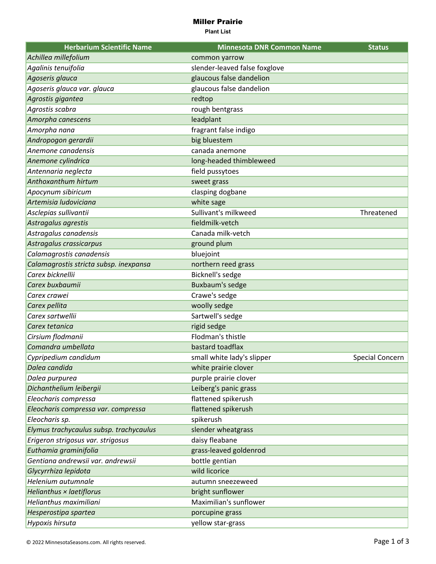## Miller Prairie

**Plant List**

| <b>Herbarium Scientific Name</b>        | <b>Minnesota DNR Common Name</b> | <b>Status</b>   |
|-----------------------------------------|----------------------------------|-----------------|
| Achillea millefolium                    | common yarrow                    |                 |
| Agalinis tenuifolia                     | slender-leaved false foxglove    |                 |
| Agoseris glauca                         | glaucous false dandelion         |                 |
| Agoseris glauca var. glauca             | glaucous false dandelion         |                 |
| Agrostis gigantea                       | redtop                           |                 |
| Agrostis scabra                         | rough bentgrass                  |                 |
| Amorpha canescens                       | leadplant                        |                 |
| Amorpha nana                            | fragrant false indigo            |                 |
| Andropogon gerardii                     | big bluestem                     |                 |
| Anemone canadensis                      | canada anemone                   |                 |
| Anemone cylindrica                      | long-headed thimbleweed          |                 |
| Antennaria neglecta                     | field pussytoes                  |                 |
| Anthoxanthum hirtum                     | sweet grass                      |                 |
| Apocynum sibiricum                      | clasping dogbane                 |                 |
| Artemisia Iudoviciana                   | white sage                       |                 |
| Asclepias sullivantii                   | Sullivant's milkweed             | Threatened      |
| Astragalus agrestis                     | fieldmilk-vetch                  |                 |
| Astragalus canadensis                   | Canada milk-vetch                |                 |
| Astragalus crassicarpus                 | ground plum                      |                 |
| Calamagrostis canadensis                | bluejoint                        |                 |
| Calamagrostis stricta subsp. inexpansa  | northern reed grass              |                 |
| Carex bicknellii                        | Bicknell's sedge                 |                 |
| Carex buxbaumii                         | Buxbaum's sedge                  |                 |
| Carex crawei                            | Crawe's sedge                    |                 |
| Carex pellita                           | woolly sedge                     |                 |
| Carex sartwellii                        | Sartwell's sedge                 |                 |
| Carex tetanica                          | rigid sedge                      |                 |
| Cirsium flodmanii                       | Flodman's thistle                |                 |
| Comandra umbellata                      | bastard toadflax                 |                 |
| Cypripedium candidum                    | small white lady's slipper       | Special Concern |
| Dalea candida                           | white prairie clover             |                 |
| Dalea purpurea                          | purple prairie clover            |                 |
| Dichanthelium leibergii                 | Leiberg's panic grass            |                 |
| Eleocharis compressa                    | flattened spikerush              |                 |
| Eleocharis compressa var. compressa     | flattened spikerush              |                 |
| Eleocharis sp.                          | spikerush                        |                 |
| Elymus trachycaulus subsp. trachycaulus | slender wheatgrass               |                 |
| Erigeron strigosus var. strigosus       | daisy fleabane                   |                 |
| Euthamia graminifolia                   | grass-leaved goldenrod           |                 |
| Gentiana andrewsii var. andrewsii       | bottle gentian                   |                 |
| Glycyrrhiza lepidota                    | wild licorice                    |                 |
| Helenium autumnale                      | autumn sneezeweed                |                 |
| Helianthus × laetiflorus                | bright sunflower                 |                 |
| Helianthus maximiliani                  | Maximilian's sunflower           |                 |
| Hesperostipa spartea                    | porcupine grass                  |                 |
| Hypoxis hirsuta                         | yellow star-grass                |                 |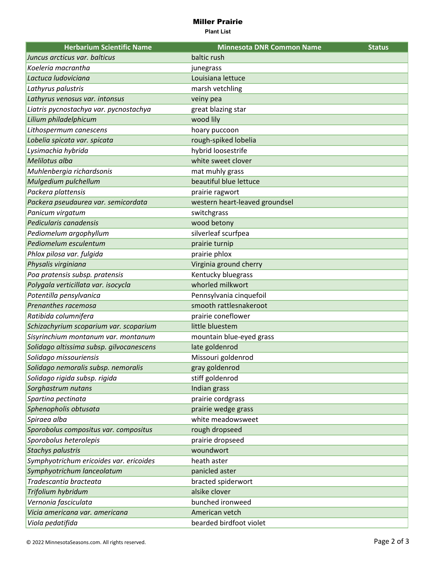## Miller Prairie

**Plant List**

| <b>Herbarium Scientific Name</b>         | <b>Minnesota DNR Common Name</b> | <b>Status</b> |
|------------------------------------------|----------------------------------|---------------|
| Juncus arcticus var. balticus            | baltic rush                      |               |
| Koeleria macrantha                       | junegrass                        |               |
| Lactuca ludoviciana                      | Louisiana lettuce                |               |
| Lathyrus palustris                       | marsh vetchling                  |               |
| Lathyrus venosus var. intonsus           | veiny pea                        |               |
| Liatris pycnostachya var. pycnostachya   | great blazing star               |               |
| Lilium philadelphicum                    | wood lily                        |               |
| Lithospermum canescens                   | hoary puccoon                    |               |
| Lobelia spicata var. spicata             | rough-spiked lobelia             |               |
| Lysimachia hybrida                       | hybrid loosestrife               |               |
| Melilotus alba                           | white sweet clover               |               |
| Muhlenbergia richardsonis                | mat muhly grass                  |               |
| Mulgedium pulchellum                     | beautiful blue lettuce           |               |
| Packera plattensis                       | prairie ragwort                  |               |
| Packera pseudaurea var. semicordata      | western heart-leaved groundsel   |               |
| Panicum virgatum                         | switchgrass                      |               |
| Pedicularis canadensis                   | wood betony                      |               |
| Pediomelum argophyllum                   | silverleaf scurfpea              |               |
| Pediomelum esculentum                    | prairie turnip                   |               |
| Phlox pilosa var. fulgida                | prairie phlox                    |               |
| Physalis virginiana                      | Virginia ground cherry           |               |
| Poa pratensis subsp. pratensis           | Kentucky bluegrass               |               |
| Polygala verticillata var. isocycla      | whorled milkwort                 |               |
| Potentilla pensylvanica                  | Pennsylvania cinquefoil          |               |
| Prenanthes racemosa                      | smooth rattlesnakeroot           |               |
| Ratibida columnifera                     | prairie coneflower               |               |
| Schizachyrium scoparium var. scoparium   | little bluestem                  |               |
| Sisyrinchium montanum var. montanum      | mountain blue-eyed grass         |               |
| Solidago altissima subsp. gilvocanescens | late goldenrod                   |               |
| Solidago missouriensis                   | Missouri goldenrod               |               |
| Solidago nemoralis subsp. nemoralis      | gray goldenrod                   |               |
| Solidago rigida subsp. rigida            | stiff goldenrod                  |               |
| Sorghastrum nutans                       | Indian grass                     |               |
| Spartina pectinata                       | prairie cordgrass                |               |
| Sphenopholis obtusata                    | prairie wedge grass              |               |
| Spiraea alba                             | white meadowsweet                |               |
| Sporobolus compositus var. compositus    | rough dropseed                   |               |
| Sporobolus heterolepis                   | prairie dropseed                 |               |
| <b>Stachys palustris</b>                 | woundwort                        |               |
| Symphyotrichum ericoides var. ericoides  | heath aster                      |               |
| Symphyotrichum lanceolatum               | panicled aster                   |               |
| Tradescantia bracteata                   | bracted spiderwort               |               |
| Trifolium hybridum                       | alsike clover                    |               |
| Vernonia fasciculata                     | bunched ironweed                 |               |
| Vicia americana var. americana           | American vetch                   |               |
| Viola pedatifida                         | bearded birdfoot violet          |               |